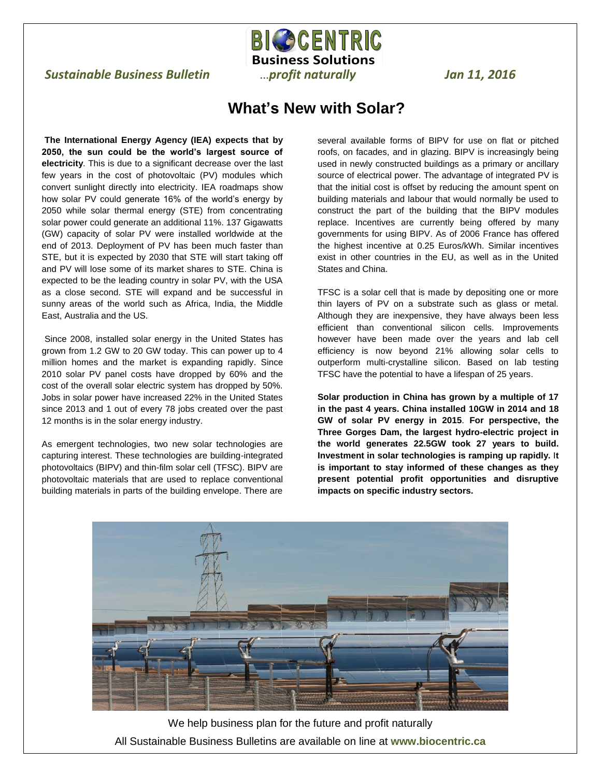## *Sustainable Business Bulletin* …*profit naturally Jan 11, 2016*

## **What's New with Solar?**

**BIGSCENTRIC Business Solutions**

 $\overline{a}$ 

**The International Energy Agency (IEA) expects that by 2050, the sun could be the world's largest source of electricity**. This is due to a significant decrease over the last few years in the cost of photovoltaic (PV) modules which convert sunlight directly into electricity. IEA roadmaps show how solar PV could generate 16% of the world's energy by 2050 while solar thermal energy (STE) from concentrating solar power could generate an additional 11%. 137 Gigawatts (GW) capacity of solar PV were installed worldwide at the end of 2013. Deployment of PV has been much faster than STE, but it is expected by 2030 that STE will start taking off and PV will lose some of its market shares to STE. China is expected to be the leading country in solar PV, with the USA as a close second. STE will expand and be successful in sunny areas of the world such as Africa, India, the Middle East, Australia and the US.

Since 2008, installed solar energy in the United States has grown from 1.2 GW to 20 GW today. This can power up to 4 million homes and the market is expanding rapidly. Since 2010 solar PV panel costs have dropped by 60% and the cost of the overall solar electric system has dropped by 50%. Jobs in solar power have increased 22% in the United States since 2013 and 1 out of every 78 jobs created over the past 12 months is in the solar energy industry.

As emergent technologies, two new solar technologies are capturing interest. These technologies are building-integrated photovoltaics (BIPV) and thin-film solar cell (TFSC). BIPV are photovoltaic materials that are used to replace conventional building materials in parts of the building envelope. There are

several available forms of BIPV for use on flat or pitched roofs, on facades, and in glazing. BIPV is increasingly being used in newly constructed buildings as a primary or ancillary source of electrical power. The advantage of integrated PV is that the initial cost is offset by reducing the amount spent on building materials and labour that would normally be used to construct the part of the building that the BIPV modules replace. Incentives are currently being offered by many governments for using BIPV. As of 2006 France has offered the highest incentive at 0.25 Euros/kWh. Similar incentives exist in other countries in the EU, as well as in the United States and China.

TFSC is a solar cell that is made by depositing one or more thin layers of PV on a substrate such as glass or metal. Although they are inexpensive, they have always been less efficient than conventional silicon cells. Improvements however have been made over the years and lab cell efficiency is now beyond 21% allowing solar cells to outperform multi-crystalline silicon. Based on lab testing TFSC have the potential to have a lifespan of 25 years.

**Solar production in China has grown by a multiple of 17 in the past 4 years. China installed 10GW in 2014 and 18 GW of solar PV energy in 2015**. **For perspective, the Three Gorges Dam, the largest hydro-electric project in the world generates 22.5GW took 27 years to build. Investment in solar technologies is ramping up rapidly.** I**t is important to stay informed of these changes as they present potential profit opportunities and disruptive impacts on specific industry sectors.**



We help business plan for the future and profit naturally All Sustainable Business Bulletins are available on line at **www.biocentric.ca**